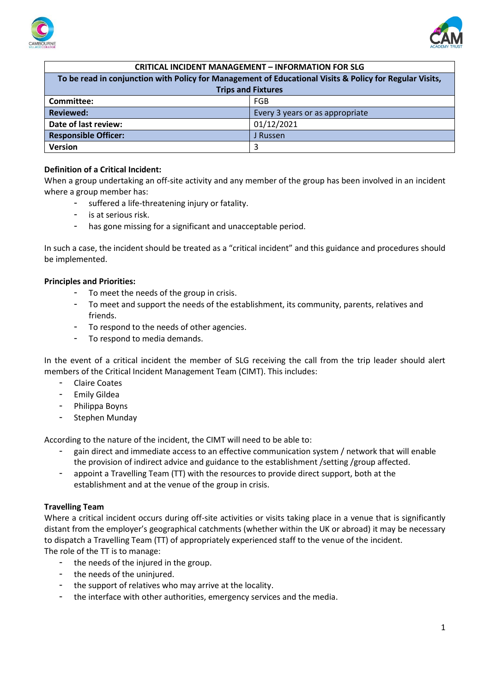



| <b>CRITICAL INCIDENT MANAGEMENT - INFORMATION FOR SLG</b>                                               |                                 |
|---------------------------------------------------------------------------------------------------------|---------------------------------|
| To be read in conjunction with Policy for Management of Educational Visits & Policy for Regular Visits, |                                 |
| <b>Trips and Fixtures</b>                                                                               |                                 |
| Committee:                                                                                              | <b>FGB</b>                      |
| <b>Reviewed:</b>                                                                                        | Every 3 years or as appropriate |
| Date of last review:                                                                                    | 01/12/2021                      |
| <b>Responsible Officer:</b>                                                                             | J Russen                        |
| <b>Version</b>                                                                                          | 3                               |

# **Definition of a Critical Incident:**

When a group undertaking an off-site activity and any member of the group has been involved in an incident where a group member has:

- suffered a life-threatening injury or fatality.
- is at serious risk.
- has gone missing for a significant and unacceptable period.

In such a case, the incident should be treated as a "critical incident" and this guidance and procedures should be implemented.

## **Principles and Priorities:**

- To meet the needs of the group in crisis.
- To meet and support the needs of the establishment, its community, parents, relatives and friends.
- To respond to the needs of other agencies.
- To respond to media demands.

In the event of a critical incident the member of SLG receiving the call from the trip leader should alert members of the Critical Incident Management Team (CIMT). This includes:

- Claire Coates
- Emily Gildea
- Philippa Boyns
- Stephen Munday

According to the nature of the incident, the CIMT will need to be able to:

- gain direct and immediate access to an effective communication system / network that will enable the provision of indirect advice and guidance to the establishment /setting /group affected.
- appoint a Travelling Team (TT) with the resources to provide direct support, both at the establishment and at the venue of the group in crisis.

## **Travelling Team**

Where a critical incident occurs during off-site activities or visits taking place in a venue that is significantly distant from the employer's geographical catchments (whether within the UK or abroad) it may be necessary to dispatch a Travelling Team (TT) of appropriately experienced staff to the venue of the incident. The role of the TT is to manage:

- the needs of the injured in the group.
- the needs of the uninjured.
- the support of relatives who may arrive at the locality.
- the interface with other authorities, emergency services and the media.